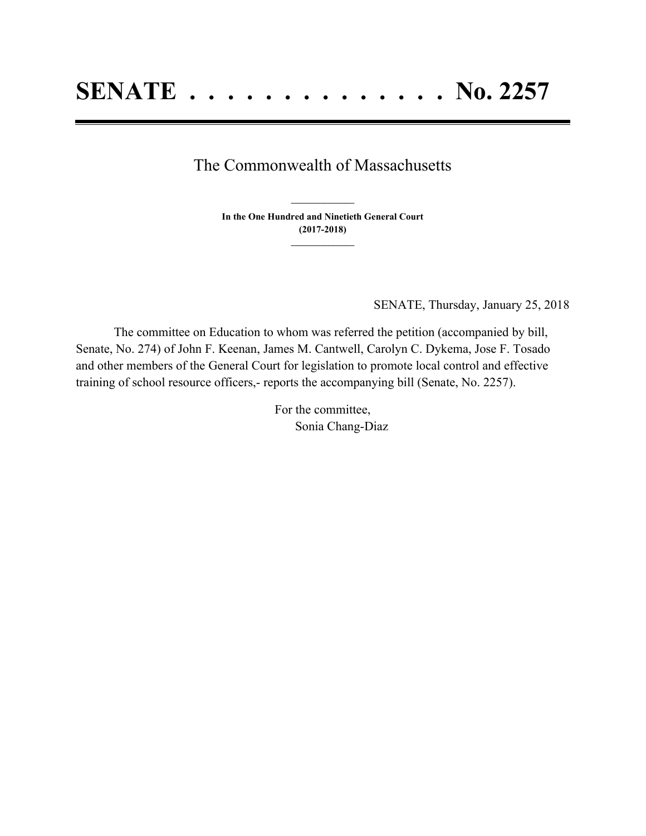## The Commonwealth of Massachusetts

**In the One Hundred and Ninetieth General Court (2017-2018) \_\_\_\_\_\_\_\_\_\_\_\_\_\_\_**

**\_\_\_\_\_\_\_\_\_\_\_\_\_\_\_**

SENATE, Thursday, January 25, 2018

The committee on Education to whom was referred the petition (accompanied by bill, Senate, No. 274) of John F. Keenan, James M. Cantwell, Carolyn C. Dykema, Jose F. Tosado and other members of the General Court for legislation to promote local control and effective training of school resource officers,- reports the accompanying bill (Senate, No. 2257).

> For the committee, Sonia Chang-Diaz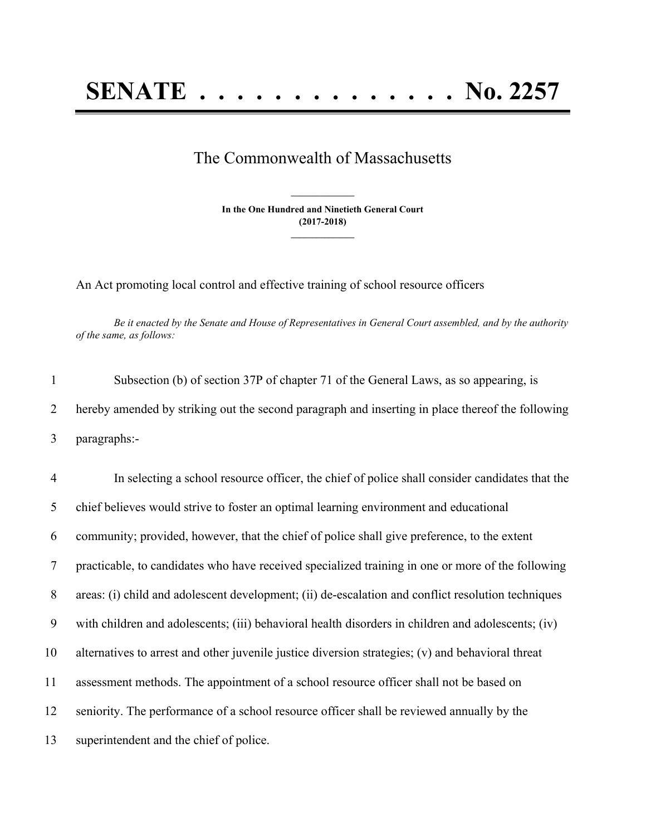## **SENATE . . . . . . . . . . . . . . No. 2257**

## The Commonwealth of Massachusetts

**In the One Hundred and Ninetieth General Court (2017-2018) \_\_\_\_\_\_\_\_\_\_\_\_\_\_\_**

**\_\_\_\_\_\_\_\_\_\_\_\_\_\_\_**

An Act promoting local control and effective training of school resource officers

Be it enacted by the Senate and House of Representatives in General Court assembled, and by the authority *of the same, as follows:*

1 Subsection (b) of section 37P of chapter 71 of the General Laws, as so appearing, is 2 hereby amended by striking out the second paragraph and inserting in place thereof the following 3 paragraphs:-

 In selecting a school resource officer, the chief of police shall consider candidates that the chief believes would strive to foster an optimal learning environment and educational community; provided, however, that the chief of police shall give preference, to the extent practicable, to candidates who have received specialized training in one or more of the following areas: (i) child and adolescent development; (ii) de-escalation and conflict resolution techniques with children and adolescents; (iii) behavioral health disorders in children and adolescents; (iv) alternatives to arrest and other juvenile justice diversion strategies; (v) and behavioral threat assessment methods. The appointment of a school resource officer shall not be based on seniority. The performance of a school resource officer shall be reviewed annually by the superintendent and the chief of police.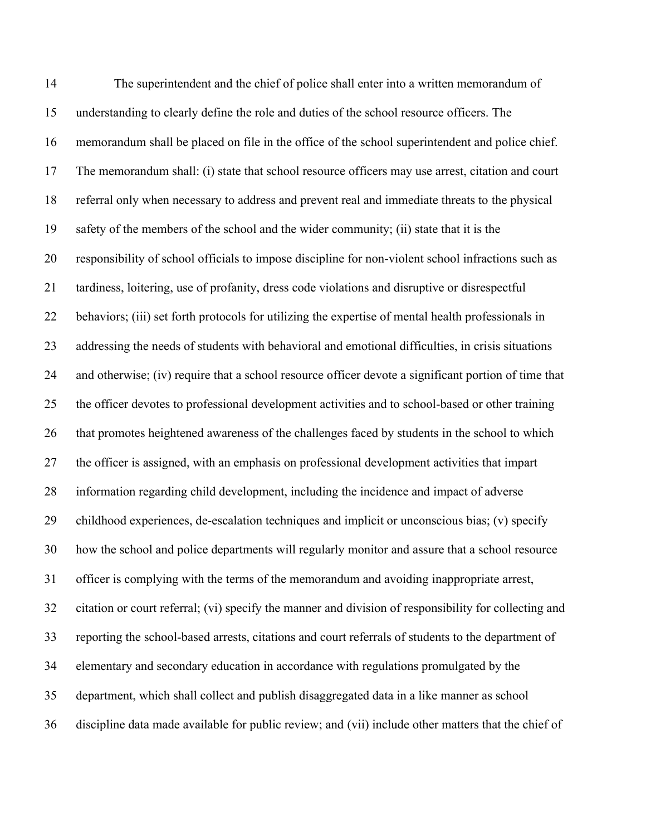The superintendent and the chief of police shall enter into a written memorandum of understanding to clearly define the role and duties of the school resource officers. The memorandum shall be placed on file in the office of the school superintendent and police chief. The memorandum shall: (i) state that school resource officers may use arrest, citation and court referral only when necessary to address and prevent real and immediate threats to the physical safety of the members of the school and the wider community; (ii) state that it is the responsibility of school officials to impose discipline for non-violent school infractions such as tardiness, loitering, use of profanity, dress code violations and disruptive or disrespectful behaviors; (iii) set forth protocols for utilizing the expertise of mental health professionals in addressing the needs of students with behavioral and emotional difficulties, in crisis situations and otherwise; (iv) require that a school resource officer devote a significant portion of time that the officer devotes to professional development activities and to school-based or other training that promotes heightened awareness of the challenges faced by students in the school to which the officer is assigned, with an emphasis on professional development activities that impart information regarding child development, including the incidence and impact of adverse childhood experiences, de-escalation techniques and implicit or unconscious bias; (v) specify how the school and police departments will regularly monitor and assure that a school resource officer is complying with the terms of the memorandum and avoiding inappropriate arrest, citation or court referral; (vi) specify the manner and division of responsibility for collecting and reporting the school-based arrests, citations and court referrals of students to the department of elementary and secondary education in accordance with regulations promulgated by the department, which shall collect and publish disaggregated data in a like manner as school discipline data made available for public review; and (vii) include other matters that the chief of